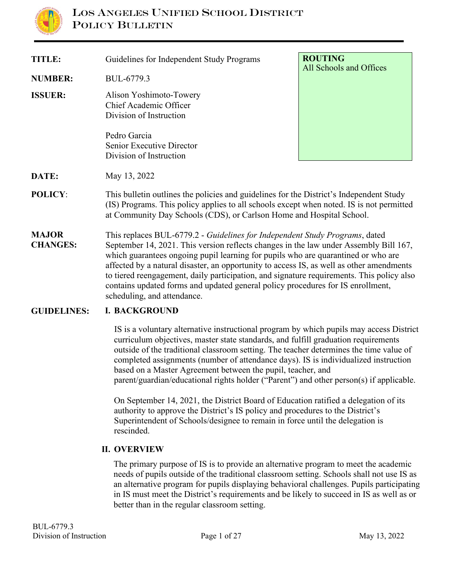

| <b>TITLE:</b>                   | Guidelines for Independent Study Programs                                                                                                                                                                                                                                                                                                                                                                                                                                                                                                                            | <b>ROUTING</b><br>All Schools and Offices |
|---------------------------------|----------------------------------------------------------------------------------------------------------------------------------------------------------------------------------------------------------------------------------------------------------------------------------------------------------------------------------------------------------------------------------------------------------------------------------------------------------------------------------------------------------------------------------------------------------------------|-------------------------------------------|
| <b>NUMBER:</b>                  | BUL-6779.3                                                                                                                                                                                                                                                                                                                                                                                                                                                                                                                                                           |                                           |
| <b>ISSUER:</b>                  | Alison Yoshimoto-Towery<br>Chief Academic Officer<br>Division of Instruction<br>Pedro Garcia                                                                                                                                                                                                                                                                                                                                                                                                                                                                         |                                           |
|                                 | Senior Executive Director<br>Division of Instruction                                                                                                                                                                                                                                                                                                                                                                                                                                                                                                                 |                                           |
| DATE:                           | May 13, 2022                                                                                                                                                                                                                                                                                                                                                                                                                                                                                                                                                         |                                           |
| <b>POLICY:</b>                  | This bulletin outlines the policies and guidelines for the District's Independent Study<br>(IS) Programs. This policy applies to all schools except when noted. IS is not permitted<br>at Community Day Schools (CDS), or Carlson Home and Hospital School.                                                                                                                                                                                                                                                                                                          |                                           |
| <b>MAJOR</b><br><b>CHANGES:</b> | This replaces BUL-6779.2 - Guidelines for Independent Study Programs, dated<br>September 14, 2021. This version reflects changes in the law under Assembly Bill 167,<br>which guarantees ongoing pupil learning for pupils who are quarantined or who are<br>affected by a natural disaster, an opportunity to access IS, as well as other amendments<br>to tiered reengagement, daily participation, and signature requirements. This policy also<br>contains updated forms and updated general policy procedures for IS enrollment,<br>scheduling, and attendance. |                                           |
| <b>GUIDELINES:</b>              | <b>I. BACKGROUND</b>                                                                                                                                                                                                                                                                                                                                                                                                                                                                                                                                                 |                                           |
|                                 | IC is a realization alternative instructional non-species by related provide near against District                                                                                                                                                                                                                                                                                                                                                                                                                                                                   |                                           |

IS is a voluntary alternative instructional program by which pupils may access District curriculum objectives, master state standards, and fulfill graduation requirements outside of the traditional classroom setting. The teacher determines the time value of completed assignments (number of attendance days). IS is individualized instruction based on a Master Agreement between the pupil, teacher, and parent/guardian/educational rights holder ("Parent") and other person(s) if applicable.

On September 14, 2021, the District Board of Education ratified a delegation of its authority to approve the District's IS policy and procedures to the District's Superintendent of Schools/designee to remain in force until the delegation is rescinded.

#### **II. OVERVIEW**

The primary purpose of IS is to provide an alternative program to meet the academic needs of pupils outside of the traditional classroom setting. Schools shall not use IS as an alternative program for pupils displaying behavioral challenges. Pupils participating in IS must meet the District's requirements and be likely to succeed in IS as well as or better than in the regular classroom setting.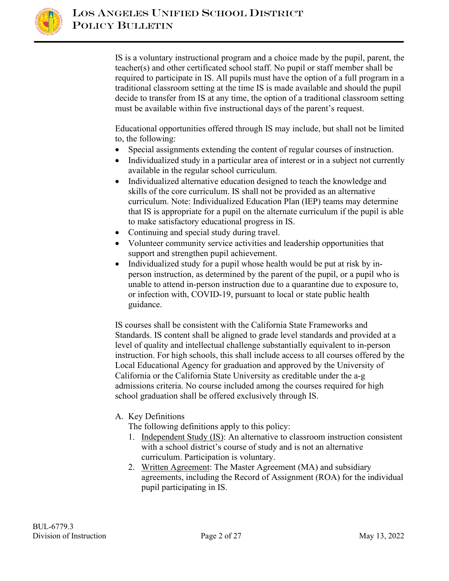

IS is a voluntary instructional program and a choice made by the pupil, parent, the teacher(s) and other certificated school staff. No pupil or staff member shall be required to participate in IS. All pupils must have the option of a full program in a traditional classroom setting at the time IS is made available and should the pupil decide to transfer from IS at any time, the option of a traditional classroom setting must be available within five instructional days of the parent's request.

Educational opportunities offered through IS may include, but shall not be limited to, the following:

- Special assignments extending the content of regular courses of instruction.
- Individualized study in a particular area of interest or in a subject not currently available in the regular school curriculum.
- Individualized alternative education designed to teach the knowledge and skills of the core curriculum. IS shall not be provided as an alternative curriculum. Note: Individualized Education Plan (IEP) teams may determine that IS is appropriate for a pupil on the alternate curriculum if the pupil is able to make satisfactory educational progress in IS.
- Continuing and special study during travel.
- Volunteer community service activities and leadership opportunities that support and strengthen pupil achievement.
- Individualized study for a pupil whose health would be put at risk by inperson instruction, as determined by the parent of the pupil, or a pupil who is unable to attend in-person instruction due to a quarantine due to exposure to, or infection with, COVID-19, pursuant to local or state public health guidance.

IS courses shall be consistent with the California State Frameworks and Standards. IS content shall be aligned to grade level standards and provided at a level of quality and intellectual challenge substantially equivalent to in-person instruction. For high schools, this shall include access to all courses offered by the Local Educational Agency for graduation and approved by the University of California or the California State University as creditable under the a-g admissions criteria. No course included among the courses required for high school graduation shall be offered exclusively through IS.

## A. Key Definitions

The following definitions apply to this policy:

- 1. Independent Study (IS): An alternative to classroom instruction consistent with a school district's course of study and is not an alternative curriculum. Participation is voluntary.
- 2. Written Agreement: The Master Agreement (MA) and subsidiary agreements, including the Record of Assignment (ROA) for the individual pupil participating in IS.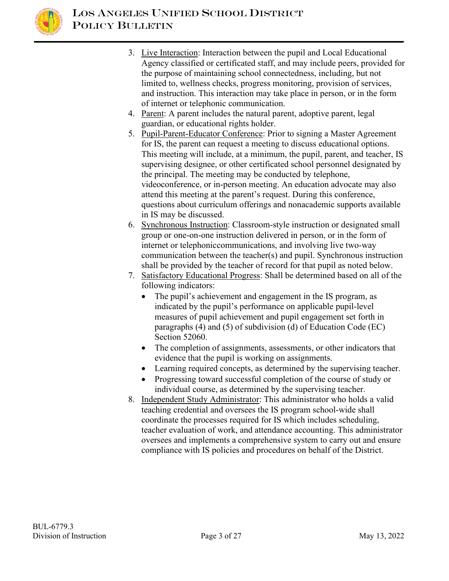

- 3. Live Interaction: Interaction between the pupil and Local Educational Agency classified or certificated staff, and may include peers, provided for the purpose of maintaining school connectedness, including, but not limited to, wellness checks, progress monitoring, provision of services, and instruction. This interaction may take place in person, or in the form of internet or telephonic communication.
- 4. Parent: A parent includes the natural parent, adoptive parent, legal guardian, or educational rights holder.
- 5. Pupil-Parent-Educator Conference: Prior to signing a Master Agreement for IS, the parent can request a meeting to discuss educational options. This meeting will include, at a minimum, the pupil, parent, and teacher, IS supervising designee, or other certificated school personnel designated by the principal. The meeting may be conducted by telephone, videoconference, or in-person meeting. An education advocate may also attend this meeting at the parent's request. During this conference, questions about curriculum offerings and nonacademic supports available in IS may be discussed.
- 6. Synchronous Instruction: Classroom-style instruction or designated small group or one-on-one instruction delivered in person, or in the form of internet or telephonic communications, and involving live two-way communication between the teacher(s) and pupil. Synchronous instruction shall be provided by the teacher of record for that pupil as noted below.
- 7. Satisfactory Educational Progress: Shall be determined based on all of the following indicators:
	- The pupil's achievement and engagement in the IS program, as indicated by the pupil's performance on applicable pupil-level measures of pupil achievement and pupil engagement set forth in paragraphs (4) and (5) of subdivision (d) of Education Code (EC) Section 52060.
	- The completion of assignments, assessments, or other indicators that evidence that the pupil is working on assignments.
	- Learning required concepts, as determined by the supervising teacher.
	- Progressing toward successful completion of the course of study or individual course, as determined by the supervising teacher.
- 8. Independent Study Administrator: This administrator who holds a valid teaching credential and oversees the IS program school-wide shall coordinate the processes required for IS which includes scheduling, teacher evaluation of work, and attendance accounting. This administrator oversees and implements a comprehensive system to carry out and ensure compliance with IS policies and procedures on behalf of the District.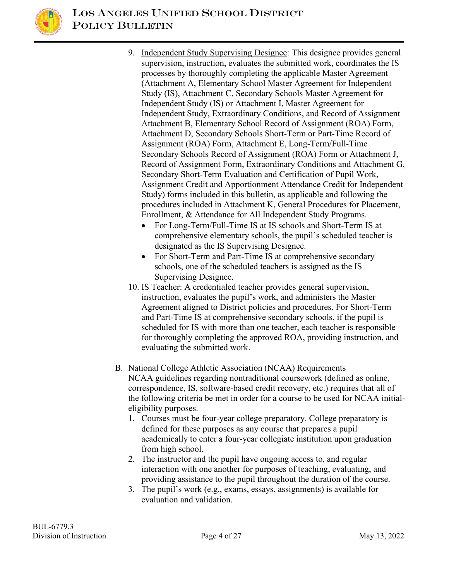

- 9. Independent Study Supervising Designee: This designee provides general supervision, instruction, evaluates the submitted work, coordinates the IS processes by thoroughly completing the applicable Master Agreement (Attachment A, Elementary School Master Agreement for Independent Study (IS), Attachment C, Secondary Schools Master Agreement for Independent Study (IS) or Attachment I, Master Agreement for Independent Study, Extraordinary Conditions, and Record of Assignment Attachment B, Elementary School Record of Assignment (ROA) Form, Attachment D, Secondary Schools Short-Term or Part-Time Record of Assignment (ROA) Form, Attachment E, Long-Term/Full-Time Secondary Schools Record of Assignment (ROA) Form or Attachment J, Record of Assignment Form, Extraordinary Conditions and Attachment G, Secondary Short-Term Evaluation and Certification of Pupil Work, Assignment Credit and Apportionment Attendance Credit for Independent Study) forms included in this bulletin, as applicable and following the procedures included in Attachment K, General Procedures for Placement, Enrollment, & Attendance for All Independent Study Programs.
	- For Long-Term/Full-Time IS at IS schools and Short-Term IS at comprehensive elementary schools, the pupil's scheduled teacher is designated as the IS Supervising Designee.
	- For Short-Term and Part-Time IS at comprehensive secondary schools, one of the scheduled teachers is assigned as the IS Supervising Designee.
- 10. IS Teacher: A credentialed teacher provides general supervision, instruction, evaluates the pupil's work, and administers the Master Agreement aligned to District policies and procedures. For Short-Term and Part-Time IS at comprehensive secondary schools, if the pupil is scheduled for IS with more than one teacher, each teacher is responsible for thoroughly completing the approved ROA, providing instruction, and evaluating the submitted work.
- B. National College Athletic Association (NCAA) Requirements NCAA guidelines regarding nontraditional coursework (defined as online, correspondence, IS, software-based credit recovery, etc.) requires that all of the following criteria be met in order for a course to be used for NCAA initialeligibility purposes.
	- 1. Courses must be four-year college preparatory. College preparatory is defined for these purposes as any course that prepares a pupil academically to enter a four-year collegiate institution upon graduation from high school.
	- 2. The instructor and the pupil have ongoing access to, and regular interaction with one another for purposes of teaching, evaluating, and providing assistance to the pupil throughout the duration of the course.
	- 3. The pupil's work (e.g., exams, essays, assignments) is available for evaluation and validation.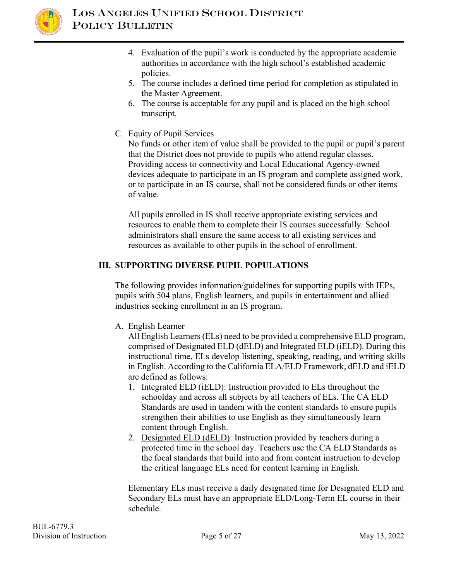

- 4. Evaluation of the pupil's work is conducted by the appropriate academic authorities in accordance with the high school's established academic policies.
- 5. The course includes a defined time period for completion as stipulated in the Master Agreement.
- 6. The course is acceptable for any pupil and is placed on the high school transcript.
- C. Equity of Pupil Services

No funds or other item of value shall be provided to the pupil or pupil's parent that the District does not provide to pupils who attend regular classes. Providing access to connectivity and Local Educational Agency-owned devices adequate to participate in an IS program and complete assigned work, or to participate in an IS course, shall not be considered funds or other items of value.

All pupils enrolled in IS shall receive appropriate existing services and resources to enable them to complete their IS courses successfully. School administrators shall ensure the same access to all existing services and resources as available to other pupils in the school of enrollment.

## **III. SUPPORTING DIVERSE PUPIL POPULATIONS**

The following provides information/guidelines for supporting pupils with IEPs, pupils with 504 plans, English learners, and pupils in entertainment and allied industries seeking enrollment in an IS program.

A. English Learner

All English Learners (ELs) need to be provided a comprehensive ELD program, comprised of Designated ELD (dELD) and Integrated ELD (iELD). During this instructional time, ELs develop listening, speaking, reading, and writing skills in English. According to the California ELA/ELD Framework, dELD and iELD are defined as follows:

- 1. Integrated ELD (iELD): Instruction provided to ELs throughout the schoolday and across all subjects by all teachers of ELs. The CA ELD Standards are used in tandem with the content standards to ensure pupils strengthen their abilities to use English as they simultaneously learn content through English.
- 2. Designated ELD (dELD): Instruction provided by teachers during a protected time in the school day. Teachers use the CA ELD Standards as the focal standards that build into and from content instruction to develop the critical language ELs need for content learning in English.

Elementary ELs must receive a daily designated time for Designated ELD and Secondary ELs must have an appropriate ELD/Long-Term EL course in their schedule.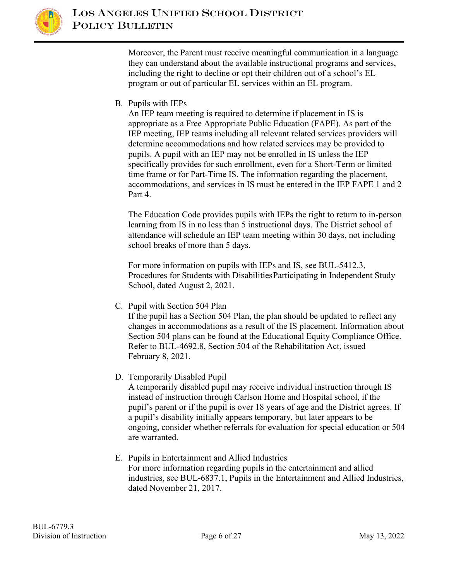

Moreover, the Parent must receive meaningful communication in a language they can understand about the available instructional programs and services, including the right to decline or opt their children out of a school's EL program or out of particular EL services within an EL program.

B. Pupils with IEPs

An IEP team meeting is required to determine if placement in IS is appropriate as a Free Appropriate Public Education (FAPE). As part of the IEP meeting, IEP teams including all relevant related services providers will determine accommodations and how related services may be provided to pupils. A pupil with an IEP may not be enrolled in IS unless the IEP specifically provides for such enrollment, even for a Short-Term or limited time frame or for Part-Time IS. The information regarding the placement, accommodations, and services in IS must be entered in the IEP FAPE 1 and 2 Part 4.

The Education Code provides pupils with IEPs the right to return to in-person learning from IS in no less than 5 instructional days. The District school of attendance will schedule an IEP team meeting within 30 days, not including school breaks of more than 5 days.

For more information on pupils with IEPs and IS, see BUL-5412.3, Procedures for Students with Disabilities Participating in Independent Study School, dated August 2, 2021.

C. Pupil with Section 504 Plan

If the pupil has a Section 504 Plan, the plan should be updated to reflect any changes in accommodations as a result of the IS placement. Information about Section 504 plans can be found at the Educational Equity Compliance Office. Refer to BUL-4692.8, Section 504 of the Rehabilitation Act, issued February 8, 2021.

D. Temporarily Disabled Pupil

A temporarily disabled pupil may receive individual instruction through IS instead of instruction through Carlson Home and Hospital school, if the pupil's parent or if the pupil is over 18 years of age and the District agrees. If a pupil's disability initially appears temporary, but later appears to be ongoing, consider whether referrals for evaluation for special education or 504 are warranted.

E. Pupils in Entertainment and Allied Industries For more information regarding pupils in the entertainment and allied industries, see BUL-6837.1, Pupils in the Entertainment and Allied Industries, dated November 21, 2017.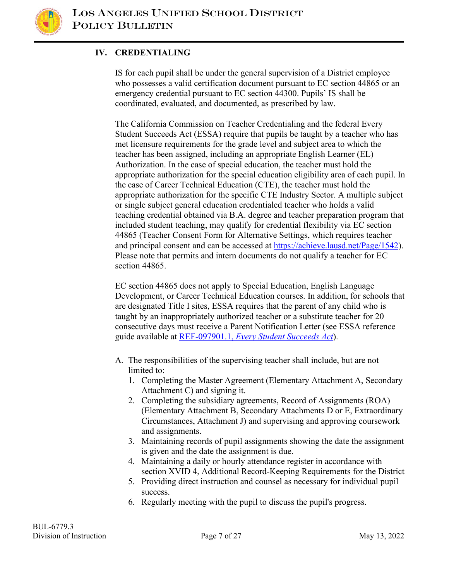

# **IV. CREDENTIALING**

IS for each pupil shall be under the general supervision of a District employee who possesses a valid certification document pursuant to EC section 44865 or an emergency credential pursuant to EC section 44300. Pupils' IS shall be coordinated, evaluated, and documented, as prescribed by law.

The California Commission on Teacher Credentialing and the federal Every Student Succeeds Act (ESSA) require that pupils be taught by a teacher who has met licensure requirements for the grade level and subject area to which the teacher has been assigned, including an appropriate English Learner (EL) Authorization. In the case of special education, the teacher must hold the appropriate authorization for the special education eligibility area of each pupil. In the case of Career Technical Education (CTE), the teacher must hold the appropriate authorization for the specific CTE Industry Sector. A multiple subject or single subject general education credentialed teacher who holds a valid teaching credential obtained via B.A. degree and teacher preparation program that included student teaching, may qualify for credential flexibility via EC section 44865 (Teacher Consent Form for Alternative Settings, which requires teacher and principal consent and can be accessed at [https://achieve.lausd.net/Page/1542\)](https://achieve.lausd.net/Page/1542). Please note that permits and intern documents do not qualify a teacher for EC section 44865.

EC section 44865 does not apply to Special Education, English Language Development, or Career Technical Education courses. In addition, for schools that are designated Title I sites, ESSA requires that the parent of any child who is taught by an inappropriately authorized teacher or a substitute teacher for 20 consecutive days must receive a Parent Notification Letter (see ESSA reference guide available at REF-097901.1, *[Every Student Succeeds Act](https://my.lausd.net/webcenter/portal/wccdoc?dDocName=ID097901)*).

- A. The responsibilities of the supervising teacher shall include, but are not limited to:
	- 1. Completing the Master Agreement (Elementary Attachment A, Secondary Attachment C) and signing it.
	- 2. Completing the subsidiary agreements, Record of Assignments (ROA) (Elementary Attachment B, Secondary Attachments D or E, Extraordinary Circumstances, Attachment J) and supervising and approving coursework and assignments.
	- 3. Maintaining records of pupil assignments showing the date the assignment is given and the date the assignment is due.
	- 4. Maintaining a daily or hourly attendance register in accordance with section XVID 4, Additional Record-Keeping Requirements for the District
	- 5. Providing direct instruction and counsel as necessary for individual pupil success.
	- 6. Regularly meeting with the pupil to discuss the pupil's progress.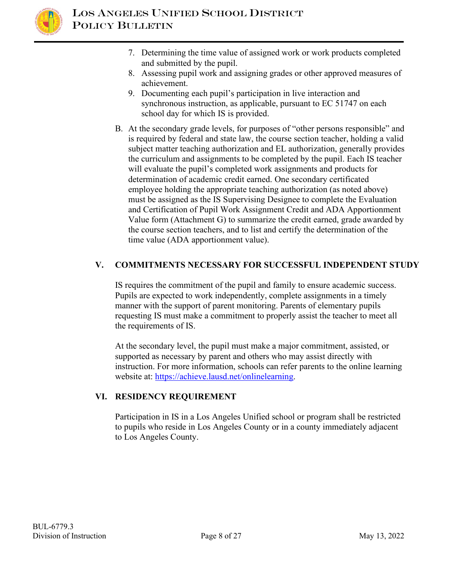

- 7. Determining the time value of assigned work or work products completed and submitted by the pupil.
- 8. Assessing pupil work and assigning grades or other approved measures of achievement.
- 9. Documenting each pupil's participation in live interaction and synchronous instruction, as applicable, pursuant to EC 51747 on each school day for which IS is provided.
- B. At the secondary grade levels, for purposes of "other persons responsible" and is required by federal and state law, the course section teacher, holding a valid subject matter teaching authorization and EL authorization, generally provides the curriculum and assignments to be completed by the pupil. Each IS teacher will evaluate the pupil's completed work assignments and products for determination of academic credit earned. One secondary certificated employee holding the appropriate teaching authorization (as noted above) must be assigned as the IS Supervising Designee to complete the Evaluation and Certification of Pupil Work Assignment Credit and ADA Apportionment Value form (Attachment G) to summarize the credit earned, grade awarded by the course section teachers, and to list and certify the determination of the time value (ADA apportionment value).

## **V. COMMITMENTS NECESSARY FOR SUCCESSFUL INDEPENDENT STUDY**

IS requires the commitment of the pupil and family to ensure academic success. Pupils are expected to work independently, complete assignments in a timely manner with the support of parent monitoring. Parents of elementary pupils requesting IS must make a commitment to properly assist the teacher to meet all the requirements of IS.

At the secondary level, the pupil must make a major commitment, assisted, or supported as necessary by parent and others who may assist directly with instruction. For more information, schools can refer parents to the online learning website at: [https://achieve.lausd.net/onlinelearning.](https://achieve.lausd.net/onlinelearning)

## **VI. RESIDENCY REQUIREMENT**

Participation in IS in a Los Angeles Unified school or program shall be restricted to pupils who reside in Los Angeles County or in a county immediately adjacent to Los Angeles County.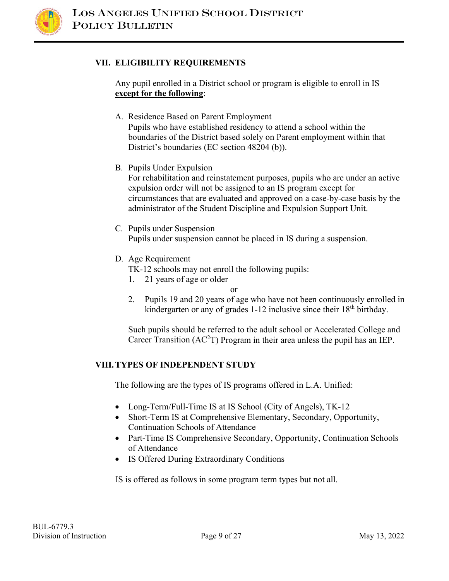

#### **VII. ELIGIBILITY REQUIREMENTS**

Any pupil enrolled in a District school or program is eligible to enroll in IS **except for the following**:

- A. Residence Based on Parent Employment Pupils who have established residency to attend a school within the boundaries of the District based solely on Parent employment within that District's boundaries (EC section 48204 (b)).
- B. Pupils Under Expulsion

For rehabilitation and reinstatement purposes, pupils who are under an active expulsion order will not be assigned to an IS program except for circumstances that are evaluated and approved on a case-by-case basis by the administrator of the Student Discipline and Expulsion Support Unit.

- C. Pupils under Suspension Pupils under suspension cannot be placed in IS during a suspension.
- D. Age Requirement

TK-12 schools may not enroll the following pupils:

1. 21 years of age or older

or

2. Pupils 19 and 20 years of age who have not been continuously enrolled in kindergarten or any of grades 1-12 inclusive since their 18<sup>th</sup> birthday.

Such pupils should be referred to the adult school or Accelerated College and Career Transition (AC<sup>2</sup>T) Program in their area unless the pupil has an IEP.

## **VIII.TYPES OF INDEPENDENT STUDY**

The following are the types of IS programs offered in L.A. Unified:

- Long-Term/Full-Time IS at IS School (City of Angels), TK-12
- Short-Term IS at Comprehensive Elementary, Secondary, Opportunity, Continuation Schools of Attendance
- Part-Time IS Comprehensive Secondary, Opportunity, Continuation Schools of Attendance
- IS Offered During Extraordinary Conditions

IS is offered as follows in some program term types but not all.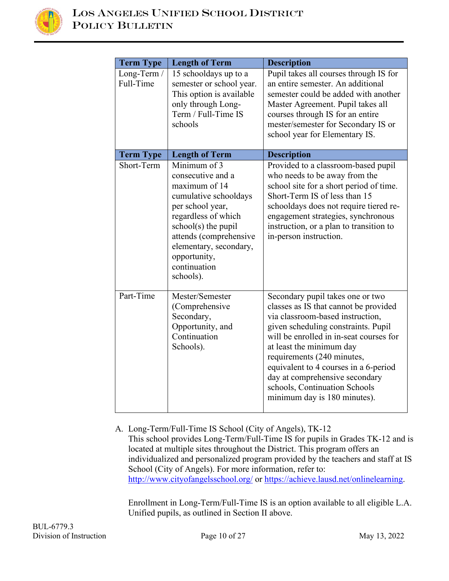

| <b>Term Type</b>         | <b>Length of Term</b>                                                                                                                                                                                                                            | <b>Description</b>                                                                                                                                                                                                                                                                                                                                                                                    |
|--------------------------|--------------------------------------------------------------------------------------------------------------------------------------------------------------------------------------------------------------------------------------------------|-------------------------------------------------------------------------------------------------------------------------------------------------------------------------------------------------------------------------------------------------------------------------------------------------------------------------------------------------------------------------------------------------------|
| Long-Term /<br>Full-Time | 15 schooldays up to a<br>semester or school year.<br>This option is available<br>only through Long-<br>Term / Full-Time IS<br>schools                                                                                                            | Pupil takes all courses through IS for<br>an entire semester. An additional<br>semester could be added with another<br>Master Agreement. Pupil takes all<br>courses through IS for an entire<br>mester/semester for Secondary IS or<br>school year for Elementary IS.                                                                                                                                 |
| <b>Term Type</b>         | <b>Length of Term</b>                                                                                                                                                                                                                            | <b>Description</b>                                                                                                                                                                                                                                                                                                                                                                                    |
| Short-Term               | Minimum of 3<br>consecutive and a<br>maximum of 14<br>cumulative schooldays<br>per school year,<br>regardless of which<br>$school(s)$ the pupil<br>attends (comprehensive<br>elementary, secondary,<br>opportunity,<br>continuation<br>schools). | Provided to a classroom-based pupil<br>who needs to be away from the<br>school site for a short period of time.<br>Short-Term IS of less than 15<br>schooldays does not require tiered re-<br>engagement strategies, synchronous<br>instruction, or a plan to transition to<br>in-person instruction.                                                                                                 |
| Part-Time                | Mester/Semester<br>(Comprehensive<br>Secondary,<br>Opportunity, and<br>Continuation<br>Schools).                                                                                                                                                 | Secondary pupil takes one or two<br>classes as IS that cannot be provided<br>via classroom-based instruction,<br>given scheduling constraints. Pupil<br>will be enrolled in in-seat courses for<br>at least the minimum day<br>requirements (240 minutes,<br>equivalent to 4 courses in a 6-period<br>day at comprehensive secondary<br>schools, Continuation Schools<br>minimum day is 180 minutes). |

A. Long-Term/Full-Time IS School (City of Angels), TK-12 This school provides Long-Term/Full-Time IS for pupils in Grades TK-12 and is located at multiple sites throughout the District. This program offers an individualized and personalized program provided by the teachers and staff at IS School (City of Angels). For more information, refer to: <http://www.cityofangelsschool.org/> or<https://achieve.lausd.net/onlinelearning>[.](http://www.cityofangelsschool.org/)

Enrollment in Long-Term/Full-Time IS is an option available to all eligible L.A. Unified pupils, as outlined in Section II above.

BUL-6779.3 Division of Instruction Page 10 of 27 May 13, 2022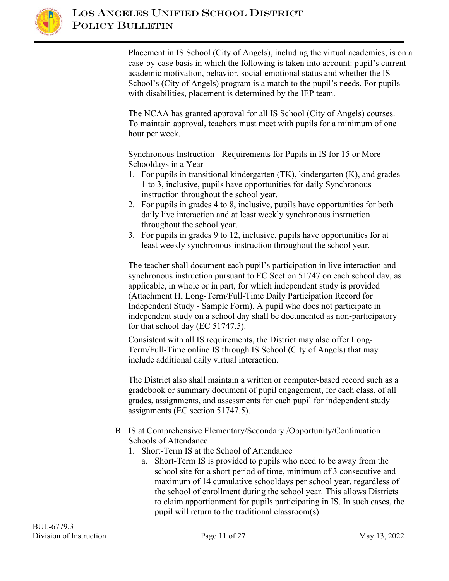

Placement in IS School (City of Angels), including the virtual academies, is on a case-by-case basis in which the following is taken into account: pupil's current academic motivation, behavior, social-emotional status and whether the IS School's (City of Angels) program is a match to the pupil's needs. For pupils with disabilities, placement is determined by the IEP team.

The NCAA has granted approval for all IS School (City of Angels) courses. To maintain approval, teachers must meet with pupils for a minimum of one hour per week.

Synchronous Instruction - Requirements for Pupils in IS for 15 or More Schooldays in a Year

- 1. For pupils in transitional kindergarten (TK), kindergarten (K), and grades 1 to 3, inclusive, pupils have opportunities for daily Synchronous instruction throughout the school year.
- 2. For pupils in grades 4 to 8, inclusive, pupils have opportunities for both daily live interaction and at least weekly synchronous instruction throughout the school year.
- 3. For pupils in grades 9 to 12, inclusive, pupils have opportunities for at least weekly synchronous instruction throughout the school year.

The teacher shall document each pupil's participation in live interaction and synchronous instruction pursuant to EC Section 51747 on each school day, as applicable, in whole or in part, for which independent study is provided (Attachment H, Long-Term/Full-Time Daily Participation Record for Independent Study - Sample Form). A pupil who does not participate in independent study on a school day shall be documented as non-participatory for that school day (EC 51747.5).

Consistent with all IS requirements, the District may also offer Long-Term/Full-Time online IS through IS School (City of Angels) that may include additional daily virtual interaction.

The District also shall maintain a written or computer-based record such as a gradebook or summary document of pupil engagement, for each class, of all grades, assignments, and assessments for each pupil for independent study assignments (EC section 51747.5).

#### B. IS at Comprehensive Elementary/Secondary /Opportunity/Continuation Schools of Attendance

- 1. Short-Term IS at the School of Attendance
	- a. Short-Term IS is provided to pupils who need to be away from the school site for a short period of time, minimum of 3 consecutive and maximum of 14 cumulative schooldays per school year, regardless of the school of enrollment during the school year. This allows Districts to claim apportionment for pupils participating in IS. In such cases, the pupil will return to the traditional classroom(s).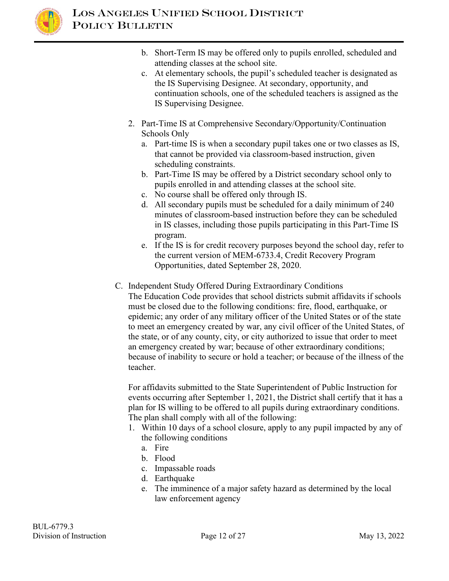

- b. Short-Term IS may be offered only to pupils enrolled, scheduled and attending classes at the school site.
- c. At elementary schools, the pupil's scheduled teacher is designated as the IS Supervising Designee. At secondary, opportunity, and continuation schools, one of the scheduled teachers is assigned as the IS Supervising Designee.
- 2. Part-Time IS at Comprehensive Secondary/Opportunity/Continuation Schools Only
	- a. Part-time IS is when a secondary pupil takes one or two classes as IS, that cannot be provided via classroom-based instruction, given scheduling constraints.
	- b. Part-Time IS may be offered by a District secondary school only to pupils enrolled in and attending classes at the school site.
	- c. No course shall be offered only through IS.
	- d. All secondary pupils must be scheduled for a daily minimum of 240 minutes of classroom-based instruction before they can be scheduled in IS classes, including those pupils participating in this Part-Time IS program.
	- e. If the IS is for credit recovery purposes beyond the school day, refer to the current version of MEM-6733.4, Credit Recovery Program Opportunities, dated September 28, 2020.
- C. Independent Study Offered During Extraordinary Conditions

The Education Code provides that school districts submit affidavits if schools must be closed due to the following conditions: fire, flood, earthquake, or epidemic; any order of any military officer of the United States or of the state to meet an emergency created by war, any civil officer of the United States, of the state, or of any county, city, or city authorized to issue that order to meet an emergency created by war; because of other extraordinary conditions; because of inability to secure or hold a teacher; or because of the illness of the teacher.

For affidavits submitted to the State Superintendent of Public Instruction for events occurring after September 1, 2021, the District shall certify that it has a plan for IS willing to be offered to all pupils during extraordinary conditions. The plan shall comply with all of the following:

- 1. Within 10 days of a school closure, apply to any pupil impacted by any of the following conditions
	- a. Fire
	- b. Flood
	- c. Impassable roads
	- d. Earthquake
	- e. The imminence of a major safety hazard as determined by the local law enforcement agency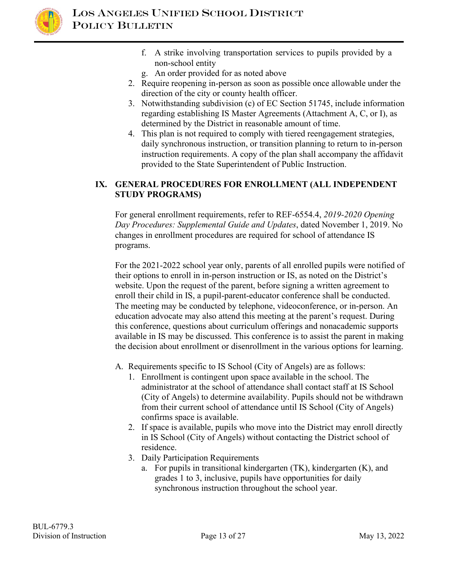

- f. A strike involving transportation services to pupils provided by a non-school entity
- g. An order provided for as noted above
- 2. Require reopening in-person as soon as possible once allowable under the direction of the city or county health officer.
- 3. Notwithstanding subdivision (c) of EC Section 51745, include information regarding establishing IS Master Agreements (Attachment A, C, or I), as determined by the District in reasonable amount of time.
- 4. This plan is not required to comply with tiered reengagement strategies, daily synchronous instruction, or transition planning to return to in-person instruction requirements. A copy of the plan shall accompany the affidavit provided to the State Superintendent of Public Instruction.

## **IX. GENERAL PROCEDURES FOR ENROLLMENT (ALL INDEPENDENT STUDY PROGRAMS)**

For general enrollment requirements, refer to REF-6554.4, *2019-2020 Opening Day Procedures: Supplemental Guide and Updates*, dated November 1, 2019. No changes in enrollment procedures are required for school of attendance IS programs.

For the 2021-2022 school year only, parents of all enrolled pupils were notified of their options to enroll in in-person instruction or IS, as noted on the District's website. Upon the request of the parent, before signing a written agreement to enroll their child in IS, a pupil-parent-educator conference shall be conducted. The meeting may be conducted by telephone, videoconference, or in-person. An education advocate may also attend this meeting at the parent's request. During this conference, questions about curriculum offerings and nonacademic supports available in IS may be discussed. This conference is to assist the parent in making the decision about enrollment or disenrollment in the various options for learning.

- A. Requirements specific to IS School (City of Angels) are as follows:
	- 1. Enrollment is contingent upon space available in the school. The administrator at the school of attendance shall contact staff at IS School (City of Angels) to determine availability. Pupils should not be withdrawn from their current school of attendance until IS School (City of Angels) confirms space is available.
	- 2. If space is available, pupils who move into the District may enroll directly in IS School (City of Angels) without contacting the District school of residence.
	- 3. Daily Participation Requirements
		- a. For pupils in transitional kindergarten (TK), kindergarten (K), and grades 1 to 3, inclusive, pupils have opportunities for daily synchronous instruction throughout the school year.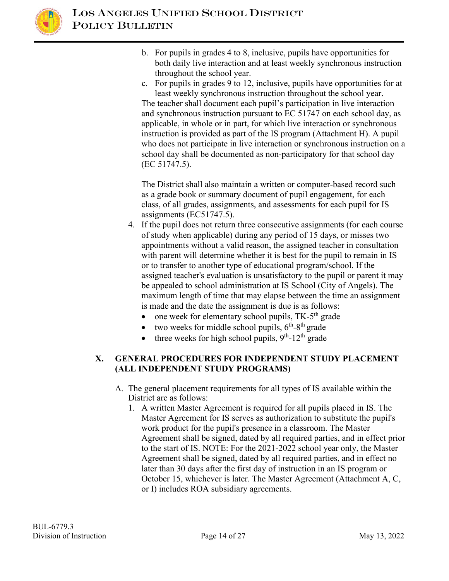

- b. For pupils in grades 4 to 8, inclusive, pupils have opportunities for both daily live interaction and at least weekly synchronous instruction throughout the school year.
- c. For pupils in grades 9 to 12, inclusive, pupils have opportunities for at least weekly synchronous instruction throughout the school year.

The teacher shall document each pupil's participation in live interaction and synchronous instruction pursuant to EC 51747 on each school day, as applicable, in whole or in part, for which live interaction or synchronous instruction is provided as part of the IS program (Attachment H). A pupil who does not participate in live interaction or synchronous instruction on a school day shall be documented as non-participatory for that school day (EC 51747.5).

The District shall also maintain a written or computer-based record such as a grade book or summary document of pupil engagement, for each class, of all grades, assignments, and assessments for each pupil for IS assignments (EC51747.5).

- 4. If the pupil does not return three consecutive assignments (for each course of study when applicable) during any period of 15 days, or misses two appointments without a valid reason, the assigned teacher in consultation with parent will determine whether it is best for the pupil to remain in IS or to transfer to another type of educational program/school. If the assigned teacher's evaluation is unsatisfactory to the pupil or parent it may be appealed to school administration at IS School (City of Angels). The maximum length of time that may elapse between the time an assignment is made and the date the assignment is due is as follows:
	- one week for elementary school pupils,  $TK-5<sup>th</sup>$  grade
	- two weeks for middle school pupils,  $6<sup>th</sup> 8<sup>th</sup>$  grade
	- three weeks for high school pupils,  $9<sup>th</sup>$ -12<sup>th</sup> grade

#### **X. GENERAL PROCEDURES FOR INDEPENDENT STUDY PLACEMENT (ALL INDEPENDENT STUDY PROGRAMS)**

- A. The general placement requirements for all types of IS available within the District are as follows:
	- 1. A written Master Agreement is required for all pupils placed in IS. The Master Agreement for IS serves as authorization to substitute the pupil's work product for the pupil's presence in a classroom. The Master Agreement shall be signed, dated by all required parties, and in effect prior to the start of IS. NOTE: For the 2021-2022 school year only, the Master Agreement shall be signed, dated by all required parties, and in effect no later than 30 days after the first day of instruction in an IS program or October 15, whichever is later. The Master Agreement (Attachment A, C, or I) includes ROA subsidiary agreements.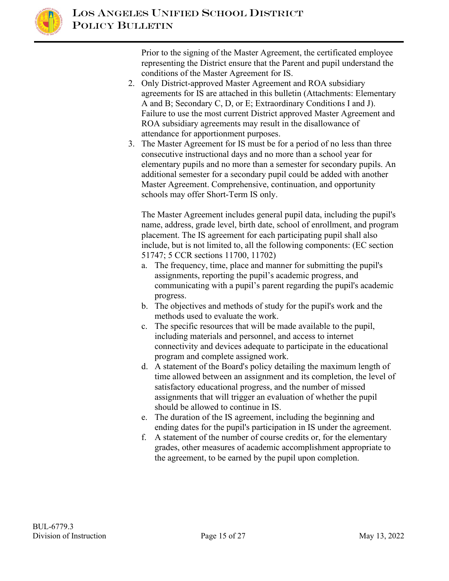

Prior to the signing of the Master Agreement, the certificated employee representing the District ensure that the Parent and pupil understand the conditions of the Master Agreement for IS.

- 2. Only District-approved Master Agreement and ROA subsidiary agreements for IS are attached in this bulletin (Attachments: Elementary A and B; Secondary C, D, or E; Extraordinary Conditions I and J). Failure to use the most current District approved Master Agreement and ROA subsidiary agreements may result in the disallowance of attendance for apportionment purposes.
- 3. The Master Agreement for IS must be for a period of no less than three consecutive instructional days and no more than a school year for elementary pupils and no more than a semester for secondary pupils. An additional semester for a secondary pupil could be added with another Master Agreement. Comprehensive, continuation, and opportunity schools may offer Short-Term IS only.

The Master Agreement includes general pupil data, including the pupil's name, address, grade level, birth date, school of enrollment, and program placement. The IS agreement for each participating pupil shall also include, but is not limited to, all the following components: (EC section 51747; 5 CCR sections 11700, 11702)

- a. The frequency, time, place and manner for submitting the pupil's assignments, reporting the pupil's academic progress, and communicating with a pupil's parent regarding the pupil's academic progress.
- b. The objectives and methods of study for the pupil's work and the methods used to evaluate the work.
- c. The specific resources that will be made available to the pupil, including materials and personnel, and access to internet connectivity and devices adequate to participate in the educational program and complete assigned work.
- d. A statement of the Board's policy detailing the maximum length of time allowed between an assignment and its completion, the level of satisfactory educational progress, and the number of missed assignments that will trigger an evaluation of whether the pupil should be allowed to continue in IS.
- e. The duration of the IS agreement, including the beginning and ending dates for the pupil's participation in IS under the agreement.
- f. A statement of the number of course credits or, for the elementary grades, other measures of academic accomplishment appropriate to the agreement, to be earned by the pupil upon completion.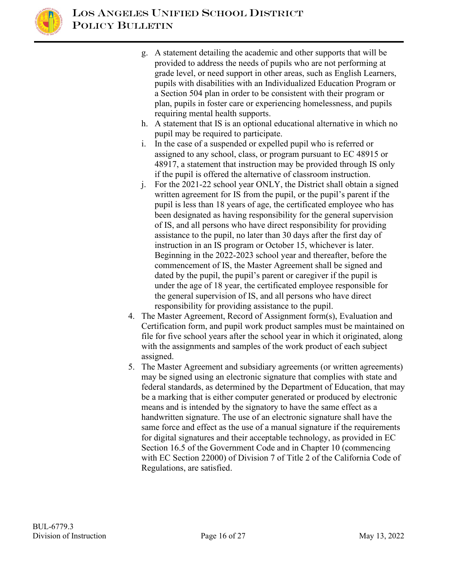

- g. A statement detailing the academic and other supports that will be provided to address the needs of pupils who are not performing at grade level, or need support in other areas, such as English Learners, pupils with disabilities with an Individualized Education Program or a Section 504 plan in order to be consistent with their program or plan, pupils in foster care or experiencing homelessness, and pupils requiring mental health supports.
- h. A statement that IS is an optional educational alternative in which no pupil may be required to participate.
- i. In the case of a suspended or expelled pupil who is referred or assigned to any school, class, or program pursuant to EC 48915 or 48917, a statement that instruction may be provided through IS only if the pupil is offered the alternative of classroom instruction.
- j. For the 2021-22 school year ONLY, the District shall obtain a signed written agreement for IS from the pupil, or the pupil's parent if the pupil is less than 18 years of age, the certificated employee who has been designated as having responsibility for the general supervision of IS, and all persons who have direct responsibility for providing assistance to the pupil, no later than 30 days after the first day of instruction in an IS program or October 15, whichever is later. Beginning in the 2022-2023 school year and thereafter, before the commencement of IS, the Master Agreement shall be signed and dated by the pupil, the pupil's parent or caregiver if the pupil is under the age of 18 year, the certificated employee responsible for the general supervision of IS, and all persons who have direct responsibility for providing assistance to the pupil.
- 4. The Master Agreement, Record of Assignment form(s), Evaluation and Certification form, and pupil work product samples must be maintained on file for five school years after the school year in which it originated, along with the assignments and samples of the work product of each subject assigned.
- 5. The Master Agreement and subsidiary agreements (or written agreements) may be signed using an electronic signature that complies with state and federal standards, as determined by the Department of Education, that may be a marking that is either computer generated or produced by electronic means and is intended by the signatory to have the same effect as a handwritten signature. The use of an electronic signature shall have the same force and effect as the use of a manual signature if the requirements for digital signatures and their acceptable technology, as provided in EC Section 16.5 of the Government Code and in Chapter 10 (commencing with EC Section 22000) of Division 7 of Title 2 of the California Code of Regulations, are satisfied.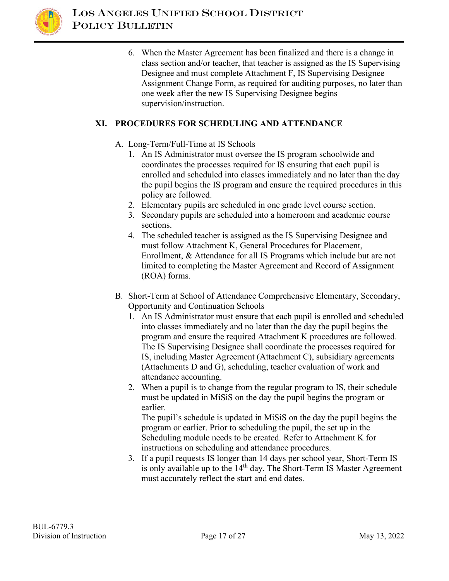

6. When the Master Agreement has been finalized and there is a change in class section and/or teacher, that teacher is assigned as the IS Supervising Designee and must complete Attachment F, IS Supervising Designee Assignment Change Form, as required for auditing purposes, no later than one week after the new IS Supervising Designee begins supervision/instruction.

#### **XI. PROCEDURES FOR SCHEDULING AND ATTENDANCE**

- A. Long-Term/Full-Time at IS Schools
	- 1. An IS Administrator must oversee the IS program schoolwide and coordinates the processes required for IS ensuring that each pupil is enrolled and scheduled into classes immediately and no later than the day the pupil begins the IS program and ensure the required procedures in this policy are followed.
	- 2. Elementary pupils are scheduled in one grade level course section.
	- 3. Secondary pupils are scheduled into a homeroom and academic course sections.
	- 4. The scheduled teacher is assigned as the IS Supervising Designee and must follow Attachment K, General Procedures for Placement, Enrollment, & Attendance for all IS Programs which include but are not limited to completing the Master Agreement and Record of Assignment (ROA) forms.
- B. Short-Term at School of Attendance Comprehensive Elementary, Secondary, Opportunity and Continuation Schools
	- 1. An IS Administrator must ensure that each pupil is enrolled and scheduled into classes immediately and no later than the day the pupil begins the program and ensure the required Attachment K procedures are followed. The IS Supervising Designee shall coordinate the processes required for IS, including Master Agreement (Attachment C), subsidiary agreements (Attachments D and G), scheduling, teacher evaluation of work and attendance accounting.
	- 2. When a pupil is to change from the regular program to IS, their schedule must be updated in MiSiS on the day the pupil begins the program or earlier.

The pupil's schedule is updated in MiSiS on the day the pupil begins the program or earlier. Prior to scheduling the pupil, the set up in the Scheduling module needs to be created. Refer to Attachment K for instructions on scheduling and attendance procedures.

3. If a pupil requests IS longer than 14 days per school year, Short-Term IS is only available up to the  $14<sup>th</sup>$  day. The Short-Term IS Master Agreement must accurately reflect the start and end dates.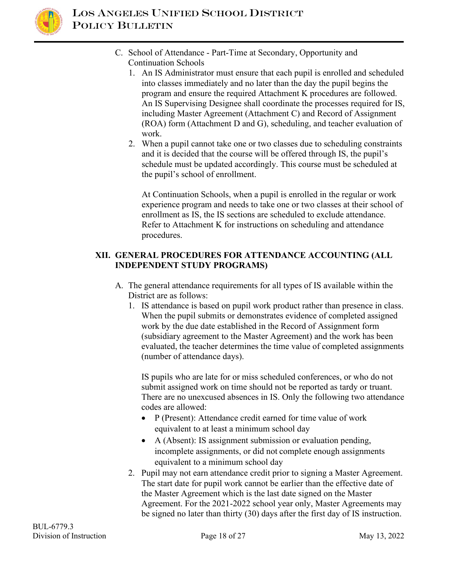

- C. School of Attendance Part-Time at Secondary, Opportunity and Continuation Schools
	- 1. An IS Administrator must ensure that each pupil is enrolled and scheduled into classes immediately and no later than the day the pupil begins the program and ensure the required Attachment K procedures are followed. An IS Supervising Designee shall coordinate the processes required for IS, including Master Agreement (Attachment C) and Record of Assignment (ROA) form (Attachment D and G), scheduling, and teacher evaluation of work.
	- 2. When a pupil cannot take one or two classes due to scheduling constraints and it is decided that the course will be offered through IS, the pupil's schedule must be updated accordingly. This course must be scheduled at the pupil's school of enrollment.

At Continuation Schools, when a pupil is enrolled in the regular or work experience program and needs to take one or two classes at their school of enrollment as IS, the IS sections are scheduled to exclude attendance. Refer to Attachment K for instructions on scheduling and attendance procedures.

#### **XII. GENERAL PROCEDURES FOR ATTENDANCE ACCOUNTING (ALL INDEPENDENT STUDY PROGRAMS)**

- A. The general attendance requirements for all types of IS available within the District are as follows:
	- 1. IS attendance is based on pupil work product rather than presence in class. When the pupil submits or demonstrates evidence of completed assigned work by the due date established in the Record of Assignment form (subsidiary agreement to the Master Agreement) and the work has been evaluated, the teacher determines the time value of completed assignments (number of attendance days).

IS pupils who are late for or miss scheduled conferences, or who do not submit assigned work on time should not be reported as tardy or truant. There are no unexcused absences in IS. Only the following two attendance codes are allowed:

- P (Present): Attendance credit earned for time value of work equivalent to at least a minimum school day
- A (Absent): IS assignment submission or evaluation pending, incomplete assignments, or did not complete enough assignments equivalent to a minimum school day
- 2. Pupil may not earn attendance credit prior to signing a Master Agreement. The start date for pupil work cannot be earlier than the effective date of the Master Agreement which is the last date signed on the Master Agreement. For the 2021-2022 school year only, Master Agreements may be signed no later than thirty (30) days after the first day of IS instruction.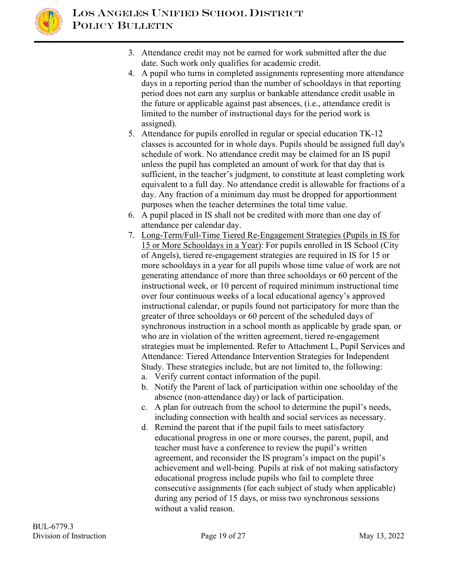

- 3. Attendance credit may not be earned for work submitted after the due date. Such work only qualifies for academic credit.
- 4. A pupil who turns in completed assignments representing more attendance days in a reporting period than the number of schooldays in that reporting period does not earn any surplus or bankable attendance credit usable in the future or applicable against past absences, (i.e., attendance credit is limited to the number of instructional days for the period work is assigned).
- 5. Attendance for pupils enrolled in regular or special education TK-12 classes is accounted for in whole days. Pupils should be assigned full day's schedule of work. No attendance credit may be claimed for an IS pupil unless the pupil has completed an amount of work for that day that is sufficient, in the teacher's judgment, to constitute at least completing work equivalent to a full day. No attendance credit is allowable for fractions of a day. Any fraction of a minimum day must be dropped for apportionment purposes when the teacher determines the total time value.
- 6. A pupil placed in IS shall not be credited with more than one day of attendance per calendar day.
- 7. Long-Term/Full-Time Tiered Re-Engagement Strategies (Pupils in IS for 15 or More Schooldays in a Year): For pupils enrolled in IS School (City of Angels), tiered re-engagement strategies are required in IS for 15 or more schooldays in a year for all pupils whose time value of work are not generating attendance of more than three schooldays or 60 percent of the instructional week, or 10 percent of required minimum instructional time over four continuous weeks of a local educational agency's approved instructional calendar, or pupils found not participatory for more than the greater of three schooldays or 60 percent of the scheduled days of synchronous instruction in a school month as applicable by grade span*,* or who are in violation of the written agreement, tiered re-engagement strategies must be implemented. Refer to Attachment L, Pupil Services and Attendance: Tiered Attendance Intervention Strategies for Independent Study. These strategies include, but are not limited to, the following:
	- a. Verify current contact information of the pupil.
	- b. Notify the Parent of lack of participation within one schoolday of the absence (non-attendance day) or lack of participation.
	- c. A plan for outreach from the school to determine the pupil's needs, including connection with health and social services as necessary.
	- d. Remind the parent that if the pupil fails to meet satisfactory educational progress in one or more courses, the parent, pupil, and teacher must have a conference to review the pupil's written agreement, and reconsider the IS program's impact on the pupil's achievement and well-being. Pupils at risk of not making satisfactory educational progress include pupils who fail to complete three consecutive assignments (for each subject of study when applicable) during any period of 15 days, or miss two synchronous sessions without a valid reason.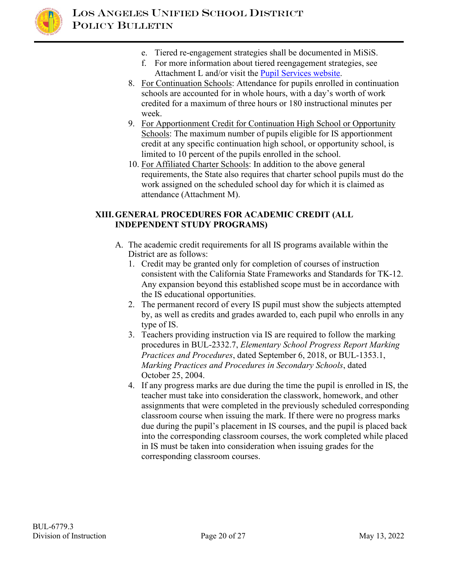

- e. Tiered re-engagement strategies shall be documented in MiSiS.
- f. For more information about tiered reengagement strategies, see Attachment L and/or visit the [Pupil Services website.](https://achieve.lausd.net/Page/12605#spn-content)
- 8. For Continuation Schools: Attendance for pupils enrolled in continuation schools are accounted for in whole hours, with a day's worth of work credited for a maximum of three hours or 180 instructional minutes per week.
- 9. For Apportionment Credit for Continuation High School or Opportunity Schools: The maximum number of pupils eligible for IS apportionment credit at any specific continuation high school, or opportunity school, is limited to 10 percent of the pupils enrolled in the school.
- 10. For Affiliated Charter Schools: In addition to the above general requirements, the State also requires that charter school pupils must do the work assigned on the scheduled school day for which it is claimed as attendance (Attachment M).

## **XIII.GENERAL PROCEDURES FOR ACADEMIC CREDIT (ALL INDEPENDENT STUDY PROGRAMS)**

- A. The academic credit requirements for all IS programs available within the District are as follows:
	- 1. Credit may be granted only for completion of courses of instruction consistent with the California State Frameworks and Standards for TK-12. Any expansion beyond this established scope must be in accordance with the IS educational opportunities.
	- 2. The permanent record of every IS pupil must show the subjects attempted by, as well as credits and grades awarded to, each pupil who enrolls in any type of IS.
	- 3. Teachers providing instruction via IS are required to follow the marking procedures in BUL-2332.7, *Elementary School Progress Report Marking Practices and Procedures*, dated September 6, 2018, or BUL-1353.1, *Marking Practices and Procedures in Secondary Schools*, dated October 25, 2004.
	- 4. If any progress marks are due during the time the pupil is enrolled in IS, the teacher must take into consideration the classwork, homework, and other assignments that were completed in the previously scheduled corresponding classroom course when issuing the mark. If there were no progress marks due during the pupil's placement in IS courses, and the pupil is placed back into the corresponding classroom courses, the work completed while placed in IS must be taken into consideration when issuing grades for the corresponding classroom courses.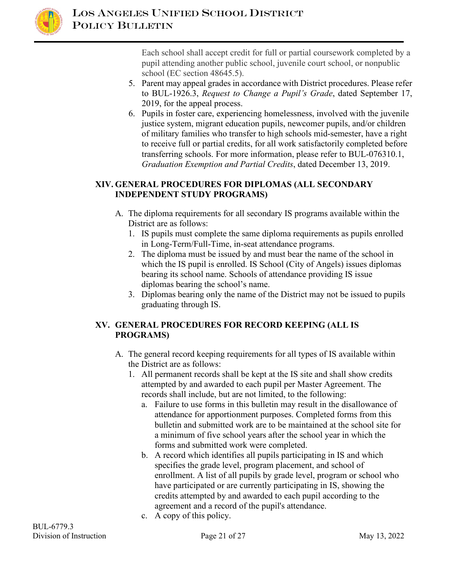

Each school shall accept credit for full or partial coursework completed by a pupil attending another public school, juvenile court school, or nonpublic school (EC section 48645.5).

- 5. Parent may appeal grades in accordance with District procedures. Please refer to BUL-1926.3, *Request to Change a Pupil's Grade*, dated September 17, 2019, for the appeal process.
- 6. Pupils in foster care, experiencing homelessness, involved with the juvenile justice system, migrant education pupils, newcomer pupils, and/or children of military families who transfer to high schools mid-semester, have a right to receive full or partial credits, for all work satisfactorily completed before transferring schools. For more information, please refer to BUL-076310.1, *Graduation Exemption and Partial Credits*, dated December 13, 2019.

## **XIV. GENERAL PROCEDURES FOR DIPLOMAS (ALL SECONDARY INDEPENDENT STUDY PROGRAMS)**

- A. The diploma requirements for all secondary IS programs available within the District are as follows:
	- 1. IS pupils must complete the same diploma requirements as pupils enrolled in Long-Term/Full-Time, in-seat attendance programs.
	- 2. The diploma must be issued by and must bear the name of the school in which the IS pupil is enrolled. IS School (City of Angels) issues diplomas bearing its school name. Schools of attendance providing IS issue diplomas bearing the school's name.
	- 3. Diplomas bearing only the name of the District may not be issued to pupils graduating through IS.

## **XV. GENERAL PROCEDURES FOR RECORD KEEPING (ALL IS PROGRAMS)**

- A. The general record keeping requirements for all types of IS available within the District are as follows:
	- 1. All permanent records shall be kept at the IS site and shall show credits attempted by and awarded to each pupil per Master Agreement. The records shall include, but are not limited, to the following:
		- a. Failure to use forms in this bulletin may result in the disallowance of attendance for apportionment purposes. Completed forms from this bulletin and submitted work are to be maintained at the school site for a minimum of five school years after the school year in which the forms and submitted work were completed.
		- b. A record which identifies all pupils participating in IS and which specifies the grade level, program placement, and school of enrollment. A list of all pupils by grade level, program or school who have participated or are currently participating in IS, showing the credits attempted by and awarded to each pupil according to the agreement and a record of the pupil's attendance.
		- c. A copy of this policy.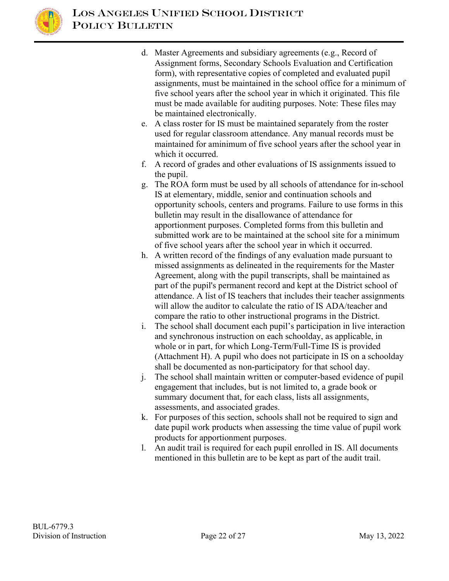

- d. Master Agreements and subsidiary agreements (e.g., Record of Assignment forms, Secondary Schools Evaluation and Certification form), with representative copies of completed and evaluated pupil assignments, must be maintained in the school office for a minimum of five school years after the school year in which it originated. This file must be made available for auditing purposes. Note: These files may be maintained electronically.
- e. A class roster for IS must be maintained separately from the roster used for regular classroom attendance. Any manual records must be maintained for aminimum of five school years after the school year in which it occurred.
- f. A record of grades and other evaluations of IS assignments issued to the pupil.
- g. The ROA form must be used by all schools of attendance for in-school IS at elementary, middle, senior and continuation schools and opportunity schools, centers and programs. Failure to use forms in this bulletin may result in the disallowance of attendance for apportionment purposes. Completed forms from this bulletin and submitted work are to be maintained at the school site for a minimum of five school years after the school year in which it occurred.
- h. A written record of the findings of any evaluation made pursuant to missed assignments as delineated in the requirements for the Master Agreement, along with the pupil transcripts, shall be maintained as part of the pupil's permanent record and kept at the District school of attendance. A list of IS teachers that includes their teacher assignments will allow the auditor to calculate the ratio of IS ADA/teacher and compare the ratio to other instructional programs in the District.
- i. The school shall document each pupil's participation in live interaction and synchronous instruction on each schoolday, as applicable, in whole or in part, for which Long-Term/Full-Time IS is provided (Attachment H). A pupil who does not participate in IS on a schoolday shall be documented as non-participatory for that school day.
- j. The school shall maintain written or computer-based evidence of pupil engagement that includes, but is not limited to, a grade book or summary document that, for each class, lists all assignments, assessments, and associated grades.
- k. For purposes of this section, schools shall not be required to sign and date pupil work products when assessing the time value of pupil work products for apportionment purposes.
- l. An audit trail is required for each pupil enrolled in IS. All documents mentioned in this bulletin are to be kept as part of the audit trail.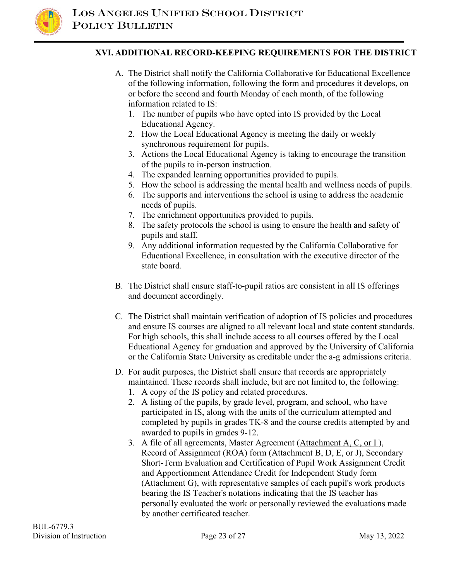

#### **XVI. ADDITIONAL RECORD-KEEPING REQUIREMENTS FOR THE DISTRICT**

- A. The District shall notify the California Collaborative for Educational Excellence of the following information, following the form and procedures it develops, on or before the second and fourth Monday of each month, of the following information related to IS:
	- 1. The number of pupils who have opted into IS provided by the Local Educational Agency.
	- 2. How the Local Educational Agency is meeting the daily or weekly synchronous requirement for pupils.
	- 3. Actions the Local Educational Agency is taking to encourage the transition of the pupils to in-person instruction.
	- 4. The expanded learning opportunities provided to pupils.
	- 5. How the school is addressing the mental health and wellness needs of pupils.
	- 6. The supports and interventions the school is using to address the academic needs of pupils.
	- 7. The enrichment opportunities provided to pupils.
	- 8. The safety protocols the school is using to ensure the health and safety of pupils and staff.
	- 9. Any additional information requested by the California Collaborative for Educational Excellence, in consultation with the executive director of the state board.
- B. The District shall ensure staff-to-pupil ratios are consistent in all IS offerings and document accordingly.
- C. The District shall maintain verification of adoption of IS policies and procedures and ensure IS courses are aligned to all relevant local and state content standards. For high schools, this shall include access to all courses offered by the Local Educational Agency for graduation and approved by the University of California or the California State University as creditable under the a-g admissions criteria.
- D. For audit purposes, the District shall ensure that records are appropriately maintained. These records shall include, but are not limited to, the following:
	- 1. A copy of the IS policy and related procedures.
	- 2. A listing of the pupils, by grade level, program, and school, who have participated in IS, along with the units of the curriculum attempted and completed by pupils in grades TK-8 and the course credits attempted by and awarded to pupils in grades 9-12.
	- 3. A file of all agreements, Master Agreement (Attachment A, C, or I), Record of Assignment (ROA) form (Attachment B, D, E, or J), Secondary Short-Term Evaluation and Certification of Pupil Work Assignment Credit and Apportionment Attendance Credit for Independent Study form (Attachment G), with representative samples of each pupil's work products bearing the IS Teacher's notations indicating that the IS teacher has personally evaluated the work or personally reviewed the evaluations made by another certificated teacher.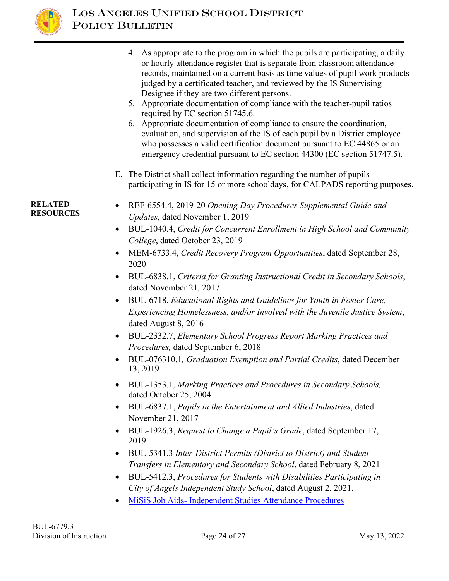

4. As appropriate to the program in which the pupils are participating, a daily or hourly attendance register that is separate from classroom attendance records, maintained on a current basis as time values of pupil work products judged by a certificated teacher, and reviewed by the IS Supervising Designee if they are two different persons. 5. Appropriate documentation of compliance with the teacher-pupil ratios required by EC section 51745.6. 6. Appropriate documentation of compliance to ensure the coordination, evaluation, and supervision of the IS of each pupil by a District employee who possesses a valid certification document pursuant to EC 44865 or an emergency credential pursuant to EC section 44300 (EC section 51747.5). E. The District shall collect information regarding the number of pupils participating in IS for 15 or more schooldays, for CALPADS reporting purposes. **RELATED RELATED** • REF-6554.4, 2019-20 *Opening Day Procedures Supplemental Guide and*<br>RESOURCES *Lighter data Nevember 1, 2019 Updates*, dated November 1, 2019 • BUL-1040.4, *Credit for Concurrent Enrollment in High School and Community College*, dated October 23, 2019 • MEM-6733.4, *Credit Recovery Program Opportunities*, dated September 28, 2020 • BUL-6838.1, *Criteria for Granting Instructional Credit in Secondary Schools*, dated November 21, 2017

- BUL-6718, *Educational Rights and Guidelines for Youth in Foster Care, Experiencing Homelessness, and/or Involved with the Juvenile Justice System*, dated August 8, 2016
- BUL-2332.7, *Elementary School Progress Report Marking Practices and Procedures,* dated September 6, 2018
- BUL-076310.1*, Graduation Exemption and Partial Credits*, dated December 13, 2019
- BUL-1353.1, *Marking Practices and Procedures in Secondary Schools,*  dated October 25, 2004
- BUL-6837.1, *Pupils in the Entertainment and Allied Industries*, dated November 21, 2017
- BUL-1926.3, *Request to Change a Pupil's Grade*, dated September 17, 2019
- BUL-5341.3 *Inter-District Permits (District to District) and Student Transfers in Elementary and Secondary School*, dated February 8, 2021
- BUL-5412.3, *Procedures for Students with Disabilities Participating in City of Angels Independent Study School*, dated August 2, 2021.
- [MiSiS Job Aids- Independent Studies Attendance](https://achieve.lausd.net/Page/13165) Procedures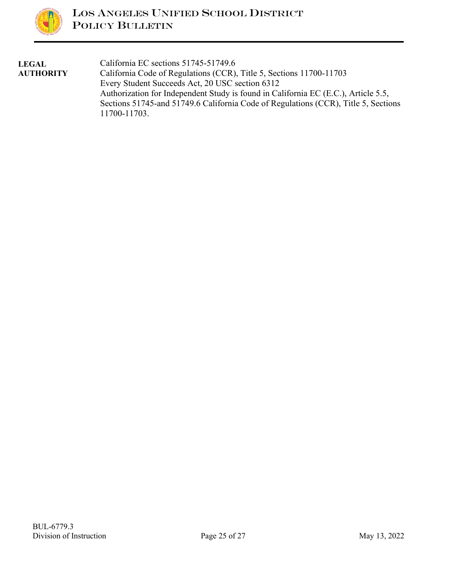

| <b>LEGAL</b>     | California EC sections 51745-51749.6                                               |
|------------------|------------------------------------------------------------------------------------|
| <b>AUTHORITY</b> | California Code of Regulations (CCR), Title 5, Sections 11700-11703                |
|                  | Every Student Succeeds Act, 20 USC section 6312                                    |
|                  | Authorization for Independent Study is found in California EC (E.C.), Article 5.5, |
|                  | Sections 51745-and 51749.6 California Code of Regulations (CCR), Title 5, Sections |
|                  | 11700-11703.                                                                       |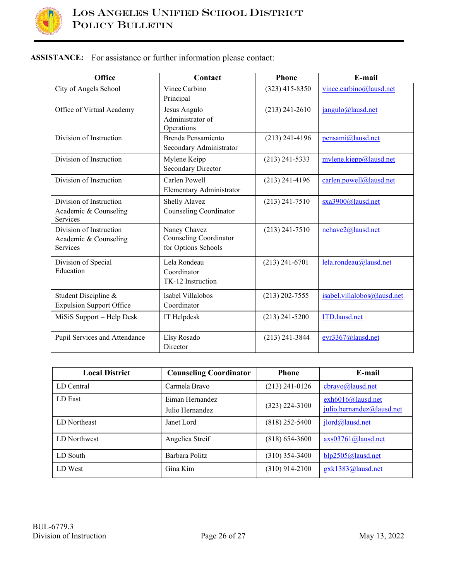

## **ASSISTANCE:** For assistance or further information please contact:

| Office                                                              | Contact                                                       | <b>Phone</b>       | E-mail                      |
|---------------------------------------------------------------------|---------------------------------------------------------------|--------------------|-----------------------------|
| City of Angels School                                               | Vince Carbino<br>Principal                                    | $(323)$ 415-8350   | vince.carbino@lausd.net     |
| Office of Virtual Academy                                           | Jesus Angulo<br>Administrator of<br>Operations                | $(213)$ 241-2610   | jangulo@lausd.net           |
| Division of Instruction                                             | Brenda Pensamiento<br>Secondary Administrator                 | $(213)$ 241-4196   | pensami@lausd.net           |
| Division of Instruction                                             | Mylene Keipp<br>Secondary Director                            | $(213)$ 241-5333   | mylene.kiepp@lausd.net      |
| Division of Instruction                                             | Carlen Powell<br>Elementary Administrator                     | $(213)$ 241-4196   | carlen.powell@lausd.net     |
| Division of Instruction<br>Academic & Counseling<br>Services        | Shelly Alavez<br>Counseling Coordinator                       | $(213)$ 241-7510   | sxa3900@lausd.net           |
| Division of Instruction<br>Academic & Counseling<br><b>Services</b> | Nancy Chavez<br>Counseling Coordinator<br>for Options Schools | $(213)$ 241-7510   | nchave2@lausd.net           |
| Division of Special<br>Education                                    | Lela Rondeau<br>Coordinator<br>TK-12 Instruction              | $(213)$ 241-6701   | lela.rondeau@lausd.net      |
| Student Discipline &<br><b>Expulsion Support Office</b>             | Isabel Villalobos<br>Coordinator                              | $(213) 202 - 7555$ | isabel.villalobos@lausd.net |
| MiSiS Support - Help Desk                                           | IT Helpdesk                                                   | $(213)$ 241-5200   | ITD.lausd.net               |
| Pupil Services and Attendance                                       | Elsy Rosado<br>Director                                       | $(213)$ 241-3844   | eyr3367@lausd.net           |

| <b>Local District</b> | <b>Counseling Coordinator</b>      | <b>Phone</b>       | E-mail                                         |
|-----------------------|------------------------------------|--------------------|------------------------------------------------|
| LD Central            | Carmela Bravo                      | $(213)$ 241-0126   | cbravo@lausd.net                               |
| LD East               | Eiman Hernandez<br>Julio Hernandez | $(323)$ 224-3100   | exh6016@lausd.net<br>julio.hernandez@lausd.net |
| LD Northeast          | Janet Lord                         | $(818)$ 252-5400   | jlord@lausd.net                                |
| LD Northwest          | Angelica Streif                    | $(818) 654 - 3600$ | $axs03761@$ lausd.net                          |
| LD South              | Barbara Politz                     | $(310)$ 354-3400   | blp2505@lausd.net                              |
| LD West               | Gina Kim                           | $(310)$ 914-2100   | gxk1383@lausd.net                              |